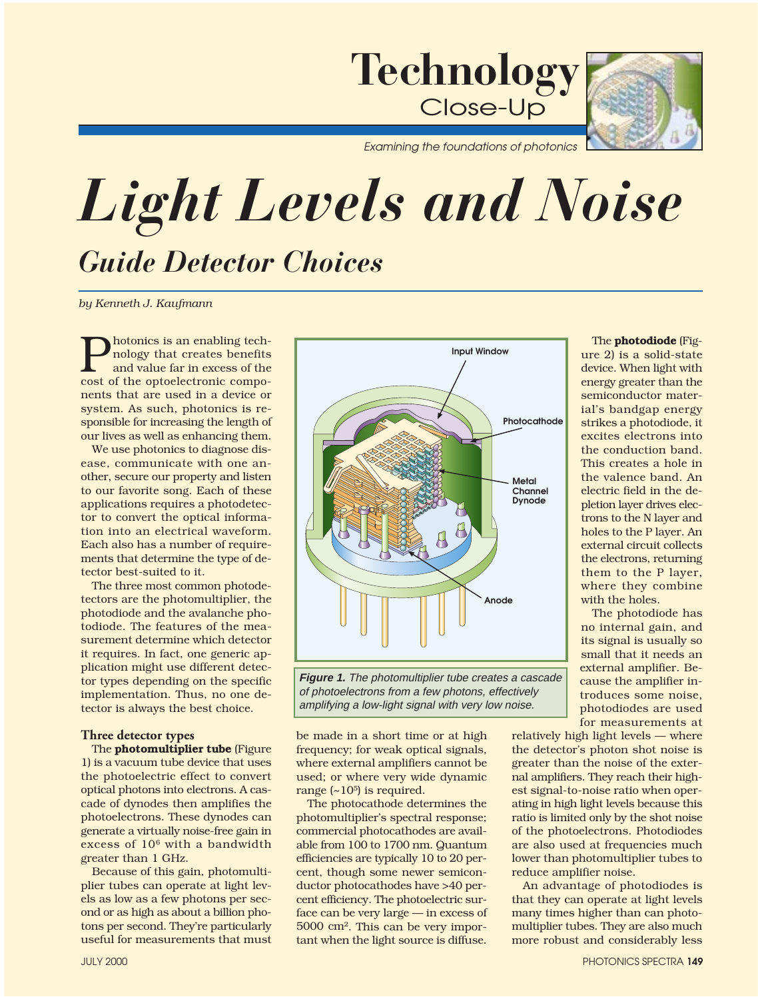

*Examining the foundations of photonics*

## *Guide Detector Choices Light Levels and Noise*

*by Kenneth J. Kaufmann* 

**P**hotonics is an enabling tech-<br>nology that creates benefits<br>and value far in excess of the<br>cost of the optoelectronic componology that creates benefits and value far in excess of the cost of the optoelectronic components that are used in a device or system. As such, photonics is responsible for increasing the length of our lives as well as enhancing them.

We use photonics to diagnose disease, communicate with one another, secure our property and listen to our favorite song. Each of these applications requires a photodetector to convert the optical information into an electrical waveform. Each also has a number of requirements that determine the type of detector best-suited to it.

The three most common photodetectors are the photomultiplier, the photodiode and the avalanche photodiode. The features of the measurement determine which detector it requires. In fact, one generic application might use different detector types depending on the specific implementation. Thus, no one detector is always the best choice.

## **Three detector types**

The **photomultiplier tube** (Figure 1) is a vacuum tube device that uses the photoelectric effect to convert optical photons into electrons. A cascade of dynodes then amplifies the photoelectrons. These dynodes can generate a virtually noise-free gain in excess of  $10^6$  with a bandwidth greater than 1 GHz.

Because of this gain, photomultiplier tubes can operate at light levels as low as a few photons per second or as high as about a billion photons per second. They're particularly useful for measurements that must





be made in a short time or at high frequency; for weak optical signals, where external amplifiers cannot be used; or where very wide dynamic range  $(-10^5)$  is required.

The photocathode determines the photomultiplier's spectral response; commercial photocathodes are available from 100 to 1700 nm. Quantum efficiencies are typically 10 to 20 percent, though some newer semiconductor photocathodes have >40 percent efficiency. The photoelectric surface can be very large — in excess of 5000 cm2. This can be very important when the light source is diffuse.

The photodiode (Figure 2) is a solid-state device. When light with energy greater than the semiconductor material's bandgap energy strikes a photodiode, it excites electrons into the conduction band. This creates a hole in the valence band. An electric field in the depletion layer drives electrons to the N layer and holes to the P layer. An external circuit collects the electrons, returning them to the P layer, where they combine with the holes.

The photodiode has no internal gain, and its signal is usually so small that it needs an external amplifier. Because the amplifier introduces some noise, photodiodes are used for measurements at

relatively high light levels — where the detector's photon shot noise is greater than the noise of the external amplifiers. They reach their highest signal-to-noise ratio when operating in high light levels because this ratio is limited only by the shot noise of the photoelectrons. Photodiodes are also used at frequencies much lower than photomultiplier tubes to reduce amplifier noise.

An advantage of photodiodes is that they can operate at light levels many times higher than can photomultiplier tubes. They are also much more robust and considerably less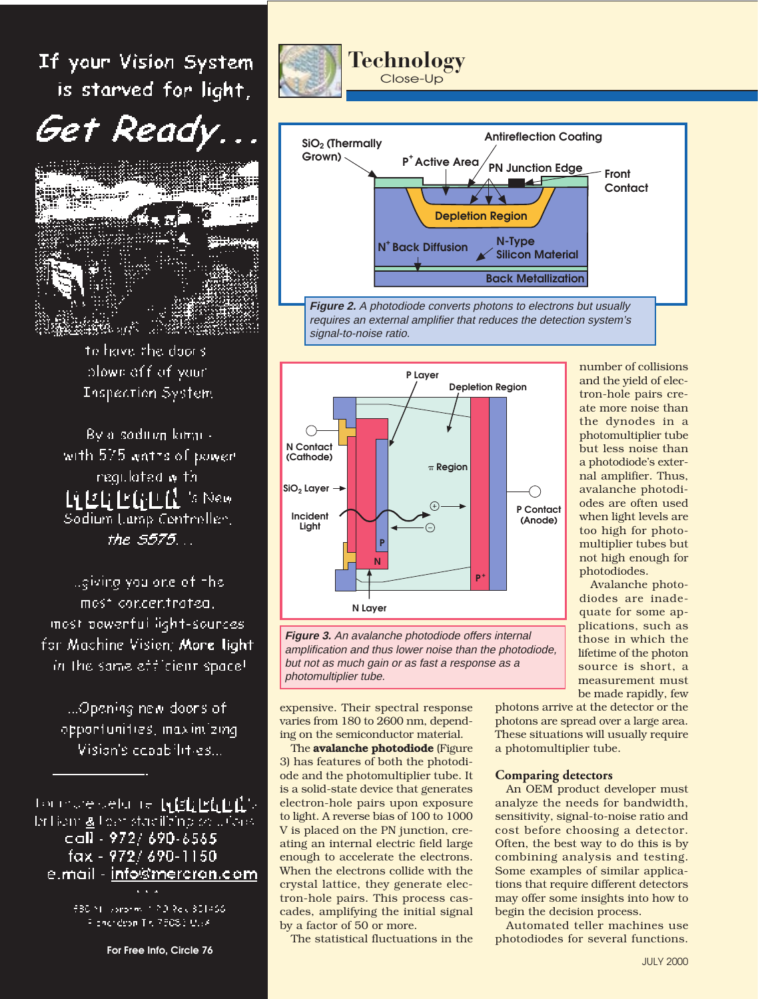If your Vision System is starved for light,



to have the door's plown off of your Inspection System

By a soditive kimit with 575 wates of power regulated with. Li EL EGEA 's New Sodium Lamp Controller, the 5575...

Lgiving you ane of the most concentrated. most powerful light-sources. for Machine Vision; More light. in the same efficient space!

...Opening new doors of opportunities, maximizing Vision's copabilities...

tomoresetu te t**ykklikklik**s In Homig Lear stadiliting on Julaus call - 972/690-6565 fax - 972/690-1150 e.mail - <u>info@mercron.com</u>

> 680 Nill sonories (190.8ek 801466) Floridae Tr. 75083 U.FA

> > For Free Info, Circle 76







**Figure 3.** An avalanche photodiode offers internal amplification and thus lower noise than the photodiode, but not as much gain or as fast a response as a photomultiplier tube.

expensive. Their spectral response varies from 180 to 2600 nm, depending on the semiconductor material.

The **avalanche photodiode** (Figure 3) has features of both the photodiode and the photomultiplier tube. It is a solid-state device that generates electron-hole pairs upon exposure to light. A reverse bias of 100 to 1000 V is placed on the PN junction, creating an internal electric field large enough to accelerate the electrons. When the electrons collide with the crystal lattice, they generate electron-hole pairs. This process cascades, amplifying the initial signal by a factor of 50 or more.

The statistical fluctuations in the

number of collisions and the yield of electron-hole pairs create more noise than the dynodes in a photomultiplier tube but less noise than a photodiode's external amplifier. Thus, avalanche photodiodes are often used when light levels are too high for photomultiplier tubes but not high enough for photodiodes.

Avalanche photodiodes are inadequate for some applications, such as those in which the lifetime of the photon source is short, a measurement must be made rapidly, few

photons arrive at the detector or the photons are spread over a large area. These situations will usually require a photomultiplier tube.

## **Comparing detectors**

An OEM product developer must analyze the needs for bandwidth, sensitivity, signal-to-noise ratio and cost before choosing a detector. Often, the best way to do this is by combining analysis and testing. Some examples of similar applications that require different detectors may offer some insights into how to begin the decision process.

Automated teller machines use photodiodes for several functions.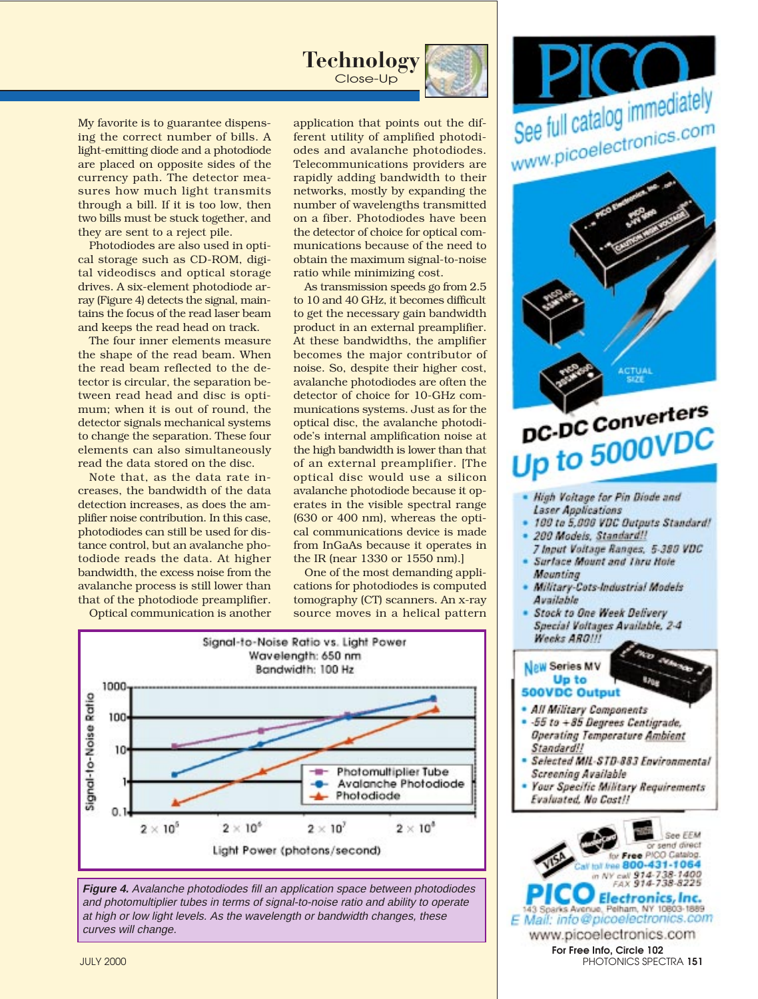

My favorite is to guarantee dispensing the correct number of bills. A light-emitting diode and a photodiode are placed on opposite sides of the currency path. The detector measures how much light transmits through a bill. If it is too low, then two bills must be stuck together, and they are sent to a reject pile.

Photodiodes are also used in optical storage such as CD-ROM, digital videodiscs and optical storage drives. A six-element photodiode array (Figure 4) detects the signal, maintains the focus of the read laser beam and keeps the read head on track.

The four inner elements measure the shape of the read beam. When the read beam reflected to the detector is circular, the separation between read head and disc is optimum; when it is out of round, the detector signals mechanical systems to change the separation. These four elements can also simultaneously read the data stored on the disc.

Note that, as the data rate increases, the bandwidth of the data detection increases, as does the amplifier noise contribution. In this case, photodiodes can still be used for distance control, but an avalanche photodiode reads the data. At higher bandwidth, the excess noise from the avalanche process is still lower than that of the photodiode preamplifier.

Optical communication is another

application that points out the different utility of amplified photodiodes and avalanche photodiodes. Telecommunications providers are rapidly adding bandwidth to their networks, mostly by expanding the number of wavelengths transmitted on a fiber. Photodiodes have been the detector of choice for optical communications because of the need to obtain the maximum signal-to-noise ratio while minimizing cost.

As transmission speeds go from 2.5 to 10 and 40 GHz, it becomes difficult to get the necessary gain bandwidth product in an external preamplifier. At these bandwidths, the amplifier becomes the major contributor of noise. So, despite their higher cost, avalanche photodiodes are often the detector of choice for 10-GHz communications systems. Just as for the optical disc, the avalanche photodiode's internal amplification noise at the high bandwidth is lower than that of an external preamplifier. [The optical disc would use a silicon avalanche photodiode because it operates in the visible spectral range (630 or 400 nm), whereas the optical communications device is made from InGaAs because it operates in the IR (near 1330 or 1550 nm).]

One of the most demanding applications for photodiodes is computed tomography (CT) scanners. An x-ray source moves in a helical pattern